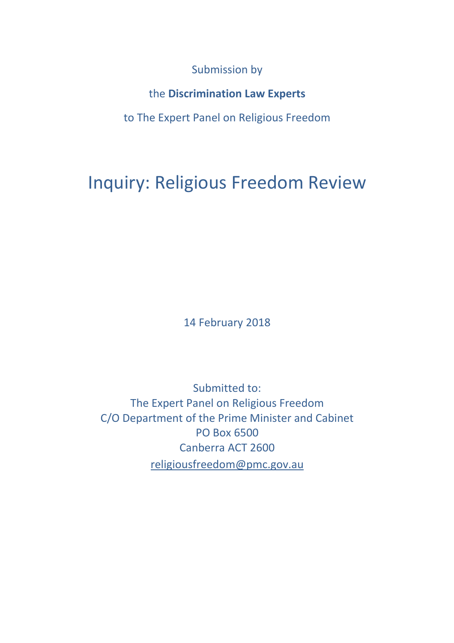Submission by

the **Discrimination Law Experts**

to The Expert Panel on Religious Freedom

# Inquiry: Religious Freedom Review

14 February 2018

Submitted to: The Expert Panel on Religious Freedom C/O Department of the Prime Minister and Cabinet PO Box 6500 Canberra ACT 2600 [religiousfreedom@pmc.gov.au](mailto:religiousfreedom@pmc.gov.au)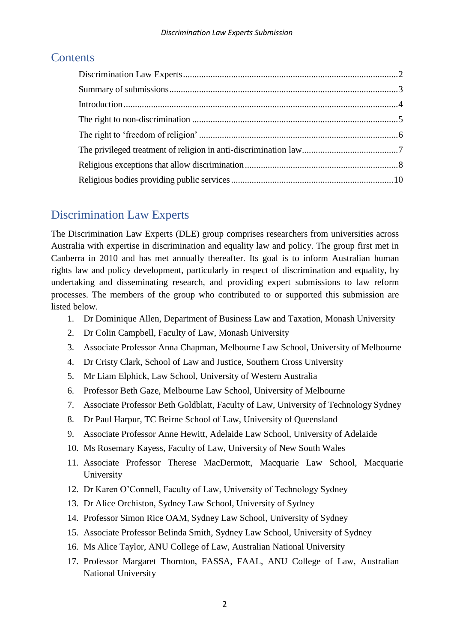### **Contents**

### <span id="page-1-0"></span>Discrimination Law Experts

The Discrimination Law Experts (DLE) group comprises researchers from universities across Australia with expertise in discrimination and equality law and policy. The group first met in Canberra in 2010 and has met annually thereafter. Its goal is to inform Australian human rights law and policy development, particularly in respect of discrimination and equality, by undertaking and disseminating research, and providing expert submissions to law reform processes. The members of the group who contributed to or supported this submission are listed below.

- 1. Dr Dominique Allen, Department of Business Law and Taxation, Monash University
- 2. Dr Colin Campbell, Faculty of Law, Monash University
- 3. Associate Professor Anna Chapman, Melbourne Law School, University of Melbourne
- 4. Dr Cristy Clark, School of Law and Justice, Southern Cross University
- 5. Mr Liam Elphick, Law School, University of Western Australia
- 6. Professor Beth Gaze, Melbourne Law School, University of Melbourne
- 7. Associate Professor Beth Goldblatt, Faculty of Law, University of Technology Sydney
- 8. Dr Paul Harpur, TC Beirne School of Law, University of Queensland
- 9. Associate Professor Anne Hewitt, Adelaide Law School, University of Adelaide
- 10. Ms Rosemary Kayess, Faculty of Law, University of New South Wales
- 11. Associate Professor Therese MacDermott, Macquarie Law School, Macquarie University
- 12. Dr Karen O'Connell, Faculty of Law, University of Technology Sydney
- 13. Dr Alice Orchiston, Sydney Law School, University of Sydney
- 14. Professor Simon Rice OAM, Sydney Law School, University of Sydney
- 15. Associate Professor Belinda Smith, Sydney Law School, University of Sydney
- 16. Ms Alice Taylor, ANU College of Law, Australian National University
- 17. Professor Margaret Thornton, FASSA, FAAL, ANU College of Law, Australian National University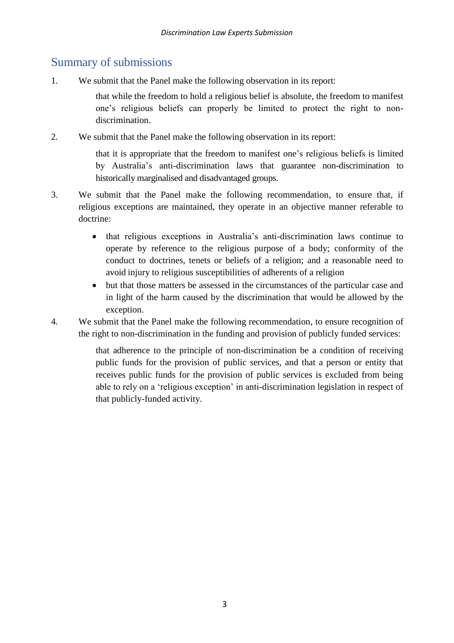### <span id="page-2-0"></span>Summary of submissions

1. We submit that the Panel make the following observation in its report:

that while the freedom to hold a religious belief is absolute, the freedom to manifest one's religious beliefs can properly be limited to protect the right to nondiscrimination.

2. We submit that the Panel make the following observation in its report:

that it is appropriate that the freedom to manifest one's religious beliefs is limited by Australia's anti-discrimination laws that guarantee non-discrimination to historically marginalised and disadvantaged groups.

- 3. We submit that the Panel make the following recommendation, to ensure that, if religious exceptions are maintained, they operate in an objective manner referable to doctrine:
	- that religious exceptions in Australia's anti-discrimination laws continue to operate by reference to the religious purpose of a body; conformity of the conduct to doctrines, tenets or beliefs of a religion; and a reasonable need to avoid injury to religious susceptibilities of adherents of a religion
	- but that those matters be assessed in the circumstances of the particular case and in light of the harm caused by the discrimination that would be allowed by the exception.

4. We submit that the Panel make the following recommendation, to ensure recognition of the right to non-discrimination in the funding and provision of publicly funded services:

> that adherence to the principle of non-discrimination be a condition of receiving public funds for the provision of public services, and that a person or entity that receives public funds for the provision of public services is excluded from being able to rely on a 'religious exception' in anti-discrimination legislation in respect of that publicly-funded activity.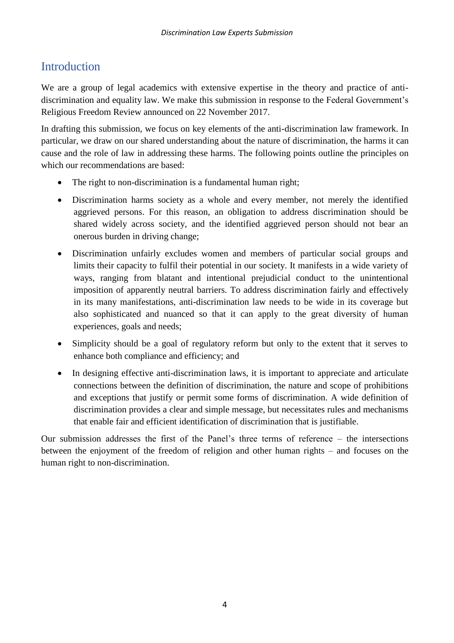## <span id="page-3-0"></span>Introduction

We are a group of legal academics with extensive expertise in the theory and practice of antidiscrimination and equality law. We make this submission in response to the Federal Government's Religious Freedom Review announced on 22 November 2017.

In drafting this submission, we focus on key elements of the anti-discrimination law framework. In particular, we draw on our shared understanding about the nature of discrimination, the harms it can cause and the role of law in addressing these harms. The following points outline the principles on which our recommendations are based:

- The right to non-discrimination is a fundamental human right;
- Discrimination harms society as a whole and every member, not merely the identified aggrieved persons. For this reason, an obligation to address discrimination should be shared widely across society, and the identified aggrieved person should not bear an onerous burden in driving change;
- Discrimination unfairly excludes women and members of particular social groups and limits their capacity to fulfil their potential in our society. It manifests in a wide variety of ways, ranging from blatant and intentional prejudicial conduct to the unintentional imposition of apparently neutral barriers. To address discrimination fairly and effectively in its many manifestations, anti-discrimination law needs to be wide in its coverage but also sophisticated and nuanced so that it can apply to the great diversity of human experiences, goals and needs;
- Simplicity should be a goal of regulatory reform but only to the extent that it serves to enhance both compliance and efficiency; and
- In designing effective anti-discrimination laws, it is important to appreciate and articulate connections between the definition of discrimination, the nature and scope of prohibitions and exceptions that justify or permit some forms of discrimination. A wide definition of discrimination provides a clear and simple message, but necessitates rules and mechanisms that enable fair and efficient identification of discrimination that is justifiable.

Our submission addresses the first of the Panel's three terms of reference – the intersections between the enjoyment of the freedom of religion and other human rights – and focuses on the human right to non-discrimination.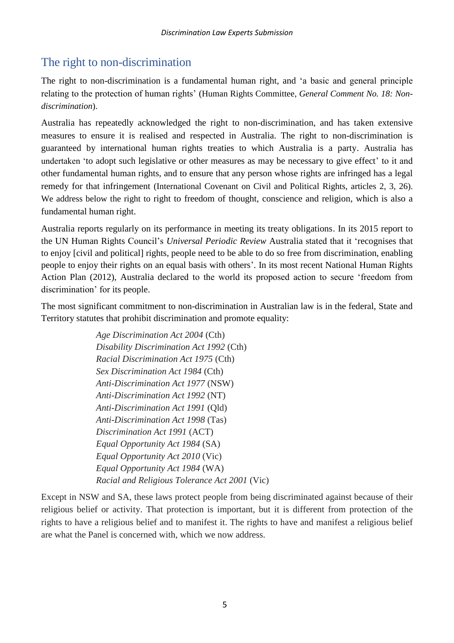## <span id="page-4-0"></span>The right to non-discrimination

The right to non-discrimination is a fundamental human right, and 'a basic and general principle relating to the protection of human rights' (Human Rights Committee, *General Comment No. 18: Nondiscrimination*).

Australia has repeatedly acknowledged the right to non-discrimination, and has taken extensive measures to ensure it is realised and respected in Australia. The right to non-discrimination is guaranteed by international human rights treaties to which Australia is a party. Australia has undertaken 'to adopt such legislative or other measures as may be necessary to give effect' to it and other fundamental human rights, and to ensure that any person whose rights are infringed has a legal remedy for that infringement (International Covenant on Civil and Political Rights, articles 2, 3, 26). We address below the right to right to freedom of thought, conscience and religion, which is also a fundamental human right.

Australia reports regularly on its performance in meeting its treaty obligations. In its 2015 report to the UN Human Rights Council's *Universal Periodic Review* Australia stated that it 'recognises that to enjoy [civil and political] rights, people need to be able to do so free from discrimination, enabling people to enjoy their rights on an equal basis with others'. In its most recent National Human Rights Action Plan (2012), Australia declared to the world its proposed action to secure 'freedom from discrimination' for its people.

The most significant commitment to non-discrimination in Australian law is in the federal, State and Territory statutes that prohibit discrimination and promote equality:

> *Age Discrimination Act 2004* (Cth) *Disability Discrimination Act 1992* (Cth) *Racial Discrimination Act 1975* (Cth) *Sex Discrimination Act 1984* (Cth) *Anti-Discrimination Act 1977* (NSW) *Anti-Discrimination Act 1992* (NT) *Anti-Discrimination Act 1991* (Qld) *Anti-Discrimination Act 1998* (Tas) *Discrimination Act 1991* (ACT) *Equal Opportunity Act 1984* (SA) *Equal Opportunity Act 2010* (Vic) *Equal Opportunity Act 1984* (WA) *Racial and Religious Tolerance Act 2001* (Vic)

Except in NSW and SA, these laws protect people from being discriminated against because of their religious belief or activity. That protection is important, but it is different from protection of the rights to have a religious belief and to manifest it. The rights to have and manifest a religious belief are what the Panel is concerned with, which we now address.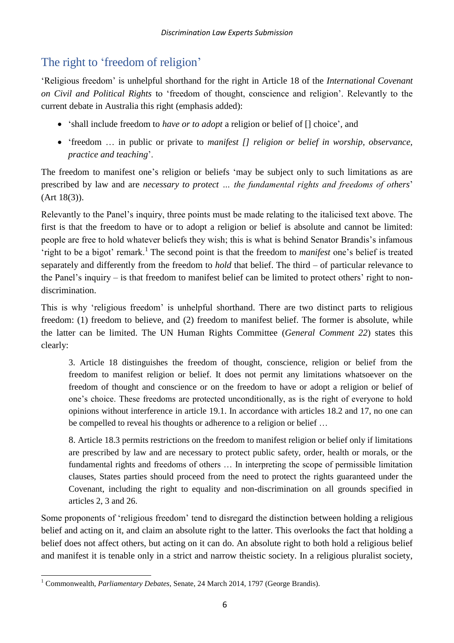# <span id="page-5-0"></span>The right to 'freedom of religion'

'Religious freedom' is unhelpful shorthand for the right in Article 18 of the *International Covenant on Civil and Political Rights* to 'freedom of thought, conscience and religion'. Relevantly to the current debate in Australia this right (emphasis added):

- 'shall include freedom to *have or to adopt* a religion or belief of [] choice', and
- 'freedom … in public or private to *manifest [] religion or belief in worship, observance, practice and teaching*'.

The freedom to manifest one's religion or beliefs 'may be subject only to such limitations as are prescribed by law and are *necessary to protect … the fundamental rights and freedoms of others*' (Art 18(3)).

Relevantly to the Panel's inquiry, three points must be made relating to the italicised text above. The first is that the freedom to have or to adopt a religion or belief is absolute and cannot be limited: people are free to hold whatever beliefs they wish; this is what is behind Senator Brandis's infamous 'right to be a bigot' remark.<sup>1</sup> The second point is that the freedom to *manifest* one's belief is treated separately and differently from the freedom to *hold* that belief. The third – of particular relevance to the Panel's inquiry – is that freedom to manifest belief can be limited to protect others' right to nondiscrimination.

This is why 'religious freedom' is unhelpful shorthand. There are two distinct parts to religious freedom: (1) freedom to believe, and (2) freedom to manifest belief. The former is absolute, while the latter can be limited. The UN Human Rights Committee (*General Comment 22*) states this clearly:

3. Article 18 distinguishes the freedom of thought, conscience, religion or belief from the freedom to manifest religion or belief. It does not permit any limitations whatsoever on the freedom of thought and conscience or on the freedom to have or adopt a religion or belief of one's choice. These freedoms are protected unconditionally, as is the right of everyone to hold opinions without interference in article 19.1. In accordance with articles 18.2 and 17, no one can be compelled to reveal his thoughts or adherence to a religion or belief …

8. Article 18.3 permits restrictions on the freedom to manifest religion or belief only if limitations are prescribed by law and are necessary to protect public safety, order, health or morals, or the fundamental rights and freedoms of others … In interpreting the scope of permissible limitation clauses, States parties should proceed from the need to protect the rights guaranteed under the Covenant, including the right to equality and non-discrimination on all grounds specified in articles 2, 3 and 26.

Some proponents of 'religious freedom' tend to disregard the distinction between holding a religious belief and acting on it, and claim an absolute right to the latter. This overlooks the fact that holding a belief does not affect others, but acting on it can do. An absolute right to both hold a religious belief and manifest it is tenable only in a strict and narrow theistic society. In a religious pluralist society,

 $\overline{\phantom{a}}$ <sup>1</sup> Commonwealth, *Parliamentary Debates*, Senate, 24 March 2014, 1797 (George Brandis).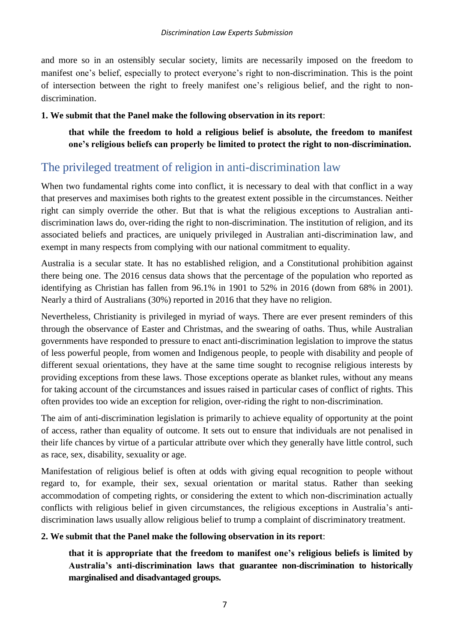and more so in an ostensibly secular society, limits are necessarily imposed on the freedom to manifest one's belief, especially to protect everyone's right to non-discrimination. This is the point of intersection between the right to freely manifest one's religious belief, and the right to nondiscrimination.

#### **1. We submit that the Panel make the following observation in its report**:

**that while the freedom to hold a religious belief is absolute, the freedom to manifest one's religious beliefs can properly be limited to protect the right to non-discrimination.**

### <span id="page-6-0"></span>The privileged treatment of religion in anti-discrimination law

When two fundamental rights come into conflict, it is necessary to deal with that conflict in a way that preserves and maximises both rights to the greatest extent possible in the circumstances. Neither right can simply override the other. But that is what the religious exceptions to Australian antidiscrimination laws do, over-riding the right to non-discrimination. The institution of religion, and its associated beliefs and practices, are uniquely privileged in Australian anti-discrimination law, and exempt in many respects from complying with our national commitment to equality.

Australia is a secular state. It has no established religion, and a Constitutional prohibition against there being one. The 2016 census data shows that the percentage of the population who reported as identifying as Christian has fallen from 96.1% in 1901 to 52% in 2016 (down from 68% in 2001). Nearly a third of Australians (30%) reported in 2016 that they have no religion.

Nevertheless, Christianity is privileged in myriad of ways. There are ever present reminders of this through the observance of Easter and Christmas, and the swearing of oaths. Thus, while Australian governments have responded to pressure to enact anti-discrimination legislation to improve the status of less powerful people, from women and Indigenous people, to people with disability and people of different sexual orientations, they have at the same time sought to recognise religious interests by providing exceptions from these laws. Those exceptions operate as blanket rules, without any means for taking account of the circumstances and issues raised in particular cases of conflict of rights. This often provides too wide an exception for religion, over-riding the right to non-discrimination.

The aim of anti-discrimination legislation is primarily to achieve equality of opportunity at the point of access, rather than equality of outcome. It sets out to ensure that individuals are not penalised in their life chances by virtue of a particular attribute over which they generally have little control, such as race, sex, disability, sexuality or age.

Manifestation of religious belief is often at odds with giving equal recognition to people without regard to, for example, their sex, sexual orientation or marital status. Rather than seeking accommodation of competing rights, or considering the extent to which non-discrimination actually conflicts with religious belief in given circumstances, the religious exceptions in Australia's antidiscrimination laws usually allow religious belief to trump a complaint of discriminatory treatment.

#### **2. We submit that the Panel make the following observation in its report**:

**that it is appropriate that the freedom to manifest one's religious beliefs is limited by Australia's anti-discrimination laws that guarantee non-discrimination to historically marginalised and disadvantaged groups.**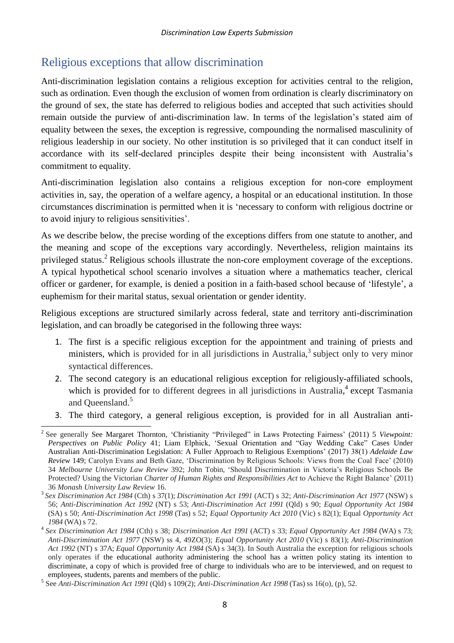### <span id="page-7-0"></span>Religious exceptions that allow discrimination

Anti-discrimination legislation contains a religious exception for activities central to the religion, such as ordination. Even though the exclusion of women from ordination is clearly discriminatory on the ground of sex, the state has deferred to religious bodies and accepted that such activities should remain outside the purview of anti-discrimination law. In terms of the legislation's stated aim of equality between the sexes, the exception is regressive, compounding the normalised masculinity of religious leadership in our society. No other institution is so privileged that it can conduct itself in accordance with its self-declared principles despite their being inconsistent with Australia's commitment to equality.

Anti-discrimination legislation also contains a religious exception for non-core employment activities in, say, the operation of a welfare agency, a hospital or an educational institution. In those circumstances discrimination is permitted when it is 'necessary to conform with religious doctrine or to avoid injury to religious sensitivities'.

As we describe below, the precise wording of the exceptions differs from one statute to another, and the meaning and scope of the exceptions vary accordingly. Nevertheless, religion maintains its privileged status.<sup>2</sup> Religious schools illustrate the non-core employment coverage of the exceptions. A typical hypothetical school scenario involves a situation where a mathematics teacher, clerical officer or gardener, for example, is denied a position in a faith-based school because of 'lifestyle', a euphemism for their marital status, sexual orientation or gender identity.

Religious exceptions are structured similarly across federal, state and territory anti-discrimination legislation, and can broadly be categorised in the following three ways:

- 1. The first is a specific religious exception for the appointment and training of priests and ministers, which is provided for in all jurisdictions in Australia,<sup>3</sup> subject only to very minor syntactical differences.
- 2. The second category is an educational religious exception for religiously-affiliated schools, which is provided for to different degrees in all jurisdictions in Australia,<sup>4</sup> except Tasmania and Queensland.<sup>5</sup>
- 3. The third category, a general religious exception, is provided for in all Australian anti-

 2 See generally See Margaret Thornton, 'Christianity "Privileged" in Laws Protecting Fairness' (2011) 5 *Viewpoint: Perspectives on Public Policy* 41; Liam Elphick, 'Sexual Orientation and "Gay Wedding Cake" Cases Under Australian Anti-Discrimination Legislation: A Fuller Approach to Religious Exemptions' (2017) 38(1) *Adelaide Law Review* 149; Carolyn Evans and Beth Gaze, 'Discrimination by Religious Schools: Views from the Coal Face' (2010) 34 *Melbourne University Law Review* 392; John Tobin, 'Should Discrimination in Victoria's Religious Schools Be Protected? Using the Victorian *Charter of Human Rights and Responsibilities Act* to Achieve the Right Balance' (2011) 36 *Monash University Law Review* 16.

<sup>3</sup> *Sex Discrimination Act 1984* (Cth) s 37(1); *Discrimination Act 1991* (ACT) s 32; *Anti-Discrimination Act 1977* (NSW) s 56; *Anti-Discrimination Act 1992* (NT) s 53; *Anti-Discrimination Act 1991* (Qld) s 90; *Equal Opportunity Act 1984*  (SA) s 50; *Anti-Discrimination Act 1998* (Tas) s 52; *Equal Opportunity Act 2010* (Vic) s 82(1); Equal *Opportunity Act 1984* (WA) s 72.

<sup>4</sup> *Sex Discrimination Act 1984* (Cth) s 38; *Discrimination Act 1991* (ACT) s 33; *Equal Opportunity Act 1984* (WA) s 73; *Anti-Discrimination Act 1977* (NSW) ss 4, 49ZO(3); *Equal Opportunity Act 2010* (Vic) s 83(1); *Anti-Discrimination Act 1992* (NT) s 37A; *Equal Opportunity Act 1984* (SA) s 34(3). In South Australia the exception for religious schools only operates if the educational authority administering the school has a written policy stating its intention to discriminate, a copy of which is provided free of charge to individuals who are to be interviewed, and on request to employees, students, parents and members of the public.

<sup>5</sup> See *Anti-Discrimination Act 1991* (Qld) s 109(2); *Anti-Discrimination Act 1998* (Tas) ss 16(o), (p), 52.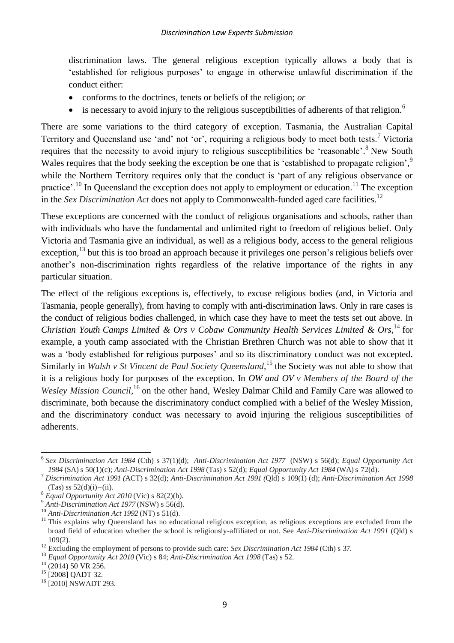discrimination laws. The general religious exception typically allows a body that is 'established for religious purposes' to engage in otherwise unlawful discrimination if the conduct either:

- conforms to the doctrines, tenets or beliefs of the religion; *or*
- $\bullet$  is necessary to avoid injury to the religious susceptibilities of adherents of that religion.<sup>6</sup>

There are some variations to the third category of exception. Tasmania, the Australian Capital Territory and Queensland use 'and' not 'or', requiring a religious body to meet both tests.<sup>7</sup> Victoria requires that the necessity to avoid injury to religious susceptibilities be 'reasonable'.<sup>8</sup> New South Wales requires that the body seeking the exception be one that is 'established to propagate religion',<sup>9</sup> while the Northern Territory requires only that the conduct is 'part of any religious observance or practice'.<sup>10</sup> In Queensland the exception does not apply to employment or education.<sup>11</sup> The exception in the *Sex Discrimination Act* does not apply to Commonwealth-funded aged care facilities.<sup>12</sup>

These exceptions are concerned with the conduct of religious organisations and schools, rather than with individuals who have the fundamental and unlimited right to freedom of religious belief. Only Victoria and Tasmania give an individual, as well as a religious body, access to the general religious exception, <sup>13</sup> but this is too broad an approach because it privileges one person's religious beliefs over another's non-discrimination rights regardless of the relative importance of the rights in any particular situation.

The effect of the religious exceptions is, effectively, to excuse religious bodies (and, in Victoria and Tasmania, people generally), from having to comply with anti-discrimination laws. Only in rare cases is the conduct of religious bodies challenged, in which case they have to meet the tests set out above. In *Christian Youth Camps Limited & Ors v Cobaw Community Health Services Limited & Ors*, <sup>14</sup> for example, a youth camp associated with the Christian Brethren Church was not able to show that it was a 'body established for religious purposes' and so its discriminatory conduct was not excepted. Similarly in *Walsh v St Vincent de Paul Society Queensland*, <sup>15</sup> the Society was not able to show that it is a religious body for purposes of the exception. In *OW and OV v Members of the Board of the*  Wesley Mission Council,<sup>16</sup> on the other hand, Wesley Dalmar Child and Family Care was allowed to discriminate, both because the discriminatory conduct complied with a belief of the Wesley Mission, and the discriminatory conduct was necessary to avoid injuring the religious susceptibilities of adherents.

 $\overline{a}$ 6 *Sex Discrimination Act 1984* (Cth) s 37(1)(d); *Anti-Discrimination Act 1977* (NSW) s 56(d); *Equal Opportunity Act 1984* (SA) s 50(1)(c); *Anti-Discrimination Act 1998* (Tas) s 52(d); *Equal Opportunity Act 1984* (WA) s 72(d).

<sup>7</sup> *Discrimination Act 1991 (*ACT) s 32(d); *Anti-Discrimination Act 1991 (*Qld) s 109(1) (d); *Anti-Discrimination Act 1998*  $(Tas)$  ss  $52(d)(i) - (ii)$ .

<sup>8</sup> *Equal Opportunity Act 2010* (Vic) s 82(2)(b).

<sup>9</sup> *Anti-Discrimination Act 1977* (NSW) s 56(d).

<sup>10</sup> *Anti-Discrimination Act 1992* (NT) s 51(d).

 $11$  This explains why Queensland has no educational religious exception, as religious exceptions are excluded from the broad field of education whether the school is religiously-affiliated or not. See *Anti-Discrimination Act 1991* (Qld) s 109(2).

<sup>&</sup>lt;sup>12</sup> Excluding the employment of persons to provide such care: *Sex Discrimination Act 1984* (Cth) s 37.

<sup>13</sup> *Equal Opportunity Act 2010* (Vic) s 84; *Anti-Discrimination Act 1998* (Tas) s 52.

 $14$  (2014) 50 VR 256.

<sup>&</sup>lt;sup>15</sup> [2008] QADT 32.

<sup>&</sup>lt;sup>16</sup> [2010] NSWADT 293.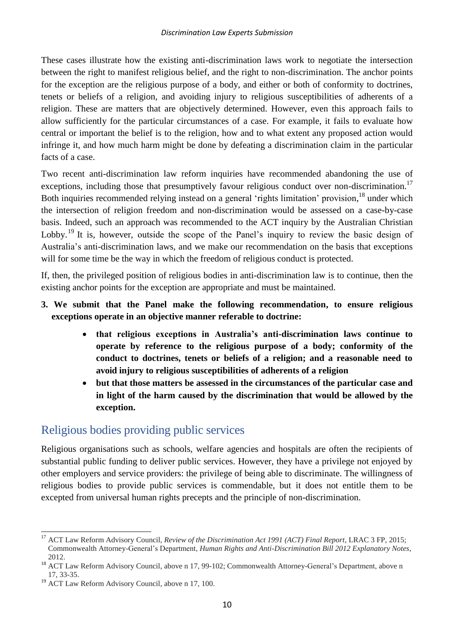These cases illustrate how the existing anti-discrimination laws work to negotiate the intersection between the right to manifest religious belief, and the right to non-discrimination. The anchor points for the exception are the religious purpose of a body, and either or both of conformity to doctrines, tenets or beliefs of a religion, and avoiding injury to religious susceptibilities of adherents of a religion. These are matters that are objectively determined. However, even this approach fails to allow sufficiently for the particular circumstances of a case. For example, it fails to evaluate how central or important the belief is to the religion, how and to what extent any proposed action would infringe it, and how much harm might be done by defeating a discrimination claim in the particular facts of a case.

Two recent anti-discrimination law reform inquiries have recommended abandoning the use of exceptions, including those that presumptively favour religious conduct over non-discrimination.<sup>17</sup> Both inquiries recommended relying instead on a general 'rights limitation' provision, <sup>18</sup> under which the intersection of religion freedom and non-discrimination would be assessed on a case-by-case basis. Indeed, such an approach was recommended to the ACT inquiry by the Australian Christian Lobby.<sup>19</sup> It is, however, outside the scope of the Panel's inquiry to review the basic design of Australia's anti-discrimination laws, and we make our recommendation on the basis that exceptions will for some time be the way in which the freedom of religious conduct is protected.

If, then, the privileged position of religious bodies in anti-discrimination law is to continue, then the existing anchor points for the exception are appropriate and must be maintained.

#### **3. We submit that the Panel make the following recommendation, to ensure religious exceptions operate in an objective manner referable to doctrine:**

- **that religious exceptions in Australia's anti-discrimination laws continue to operate by reference to the religious purpose of a body; conformity of the conduct to doctrines, tenets or beliefs of a religion; and a reasonable need to avoid injury to religious susceptibilities of adherents of a religion**
- **but that those matters be assessed in the circumstances of the particular case and in light of the harm caused by the discrimination that would be allowed by the exception.**

### <span id="page-9-0"></span>Religious bodies providing public services

Religious organisations such as schools, welfare agencies and hospitals are often the recipients of substantial public funding to deliver public services. However, they have a privilege not enjoyed by other employers and service providers: the privilege of being able to discriminate. The willingness of religious bodies to provide public services is commendable, but it does not entitle them to be excepted from universal human rights precepts and the principle of non-discrimination.

 $\overline{a}$ <sup>17</sup> ACT Law Reform Advisory Council, *Review of the Discrimination Act 1991 (ACT) Final Report*, LRAC 3 FP, 2015; Commonwealth Attorney-General's Department, *Human Rights and Anti-Discrimination Bill 2012 Explanatory Notes*, 2012.

<sup>&</sup>lt;sup>18</sup> ACT Law Reform Advisory Council, above n 17, 99-102; Commonwealth Attorney-General's Department, above n 17, 33-35.

<sup>&</sup>lt;sup>19</sup> ACT Law Reform Advisory Council, above n 17, 100.